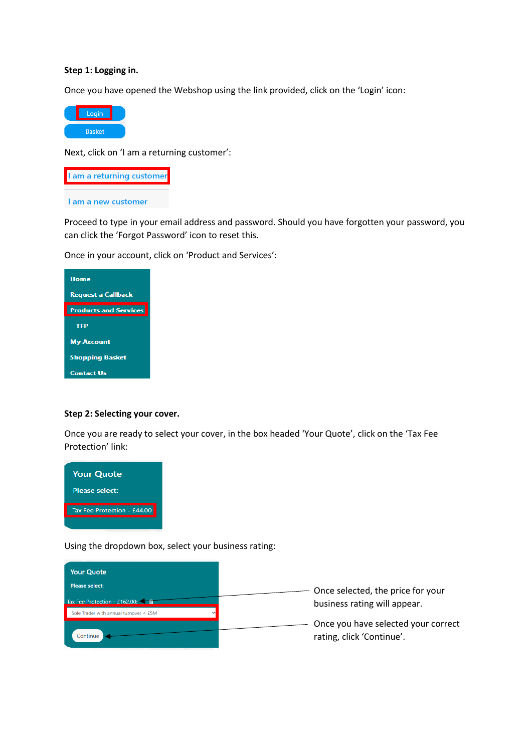### **Step 1: Logging in.**

Once you have opened the Webshop using the link provided, click on the 'Login' icon:



Next, click on 'I am a returning customer':

| I am a returning customer |  |  |  |
|---------------------------|--|--|--|
| I am a new customer       |  |  |  |

Proceed to type in your email address and password. Should you have forgotten your password, you can click the 'Forgot Password' icon to reset this.

Once in your account, click on 'Product and Services':



#### **Step 2: Selecting your cover.**

Once you are ready to select your cover, in the box headed 'Your Quote', click on the 'Tax Fee Protection' link:



Using the dropdown box, select your business rating:

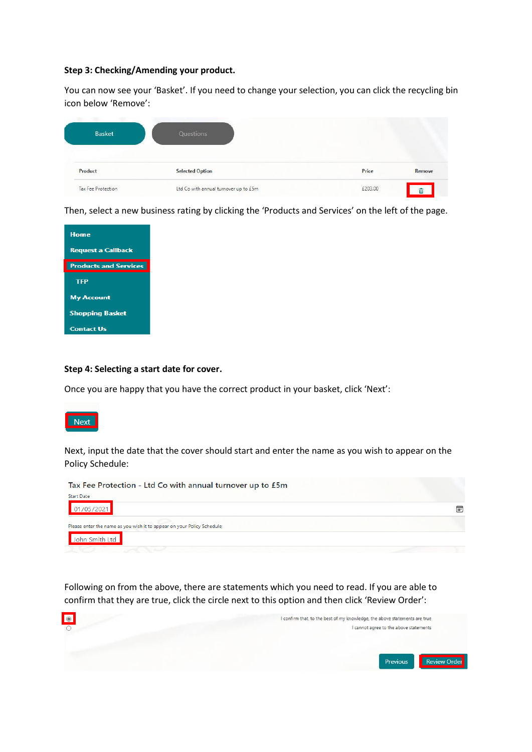#### **Step 3: Checking/Amending your product.**

You can now see your 'Basket'. If you need to change your selection, you can click the recycling bin icon below 'Remove':

| <b>Basket</b>      | Questions                             |                                       |                              |
|--------------------|---------------------------------------|---------------------------------------|------------------------------|
| Product            | <b>Selected Option</b>                | Price<br>169. ISBN 97                 | Remove<br><b>AND CENTRAL</b> |
| Tax Fee Protection | Ltd Co with annual turnover up to £5m | <b>MOVEMENT CONTROLLER</b><br>£203.00 | û                            |

Then, select a new business rating by clicking the 'Products and Services' on the left of the page.



### **Step 4: Selecting a start date for cover.**

Once you are happy that you have the correct product in your basket, click 'Next':



Next, input the date that the cover should start and enter the name as you wish to appear on the Policy Schedule:



Following on from the above, there are statements which you need to read. If you are able to confirm that they are true, click the circle next to this option and then click 'Review Order':

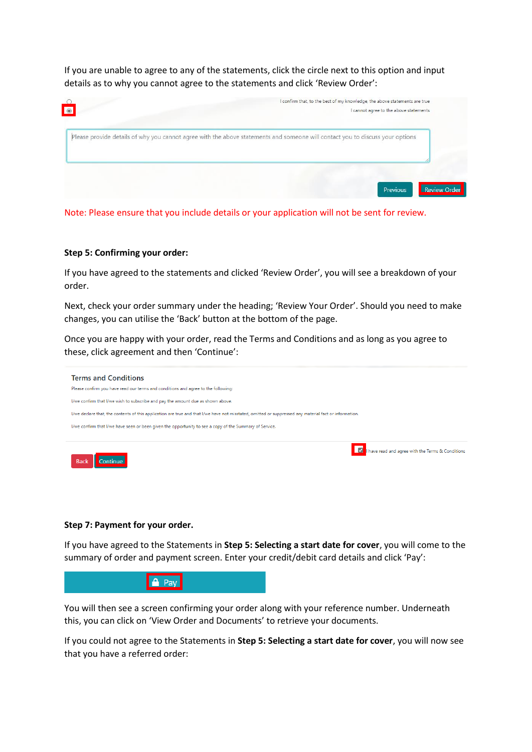If you are unable to agree to any of the statements, click the circle next to this option and input details as to why you cannot agree to the statements and click 'Review Order':

| $\bullet$ | I confirm that, to the best of my knowledge, the above statements are true<br>I cannot agree to the above statements          |
|-----------|-------------------------------------------------------------------------------------------------------------------------------|
|           | Please provide details of why you cannot agree with the above statements and someone will contact you to discuss your options |
|           | <b>Review Order</b><br>Previous                                                                                               |

Note: Please ensure that you include details or your application will not be sent for review.

## **Step 5: Confirming your order:**

If you have agreed to the statements and clicked 'Review Order', you will see a breakdown of your order.

Next, check your order summary under the heading; 'Review Your Order'. Should you need to make changes, you can utilise the 'Back' button at the bottom of the page.

Once you are happy with your order, read the Terms and Conditions and as long as you agree to these, click agreement and then 'Continue':



# **Step 7: Payment for your order.**

If you have agreed to the Statements in **Step 5: Selecting a start date for cover**, you will come to the summary of order and payment screen. Enter your credit/debit card details and click 'Pay':

 $P = P = |P|$ 

You will then see a screen confirming your order along with your reference number. Underneath this, you can click on 'View Order and Documents' to retrieve your documents.

If you could not agree to the Statements in **Step 5: Selecting a start date for cover**, you will now see that you have a referred order: